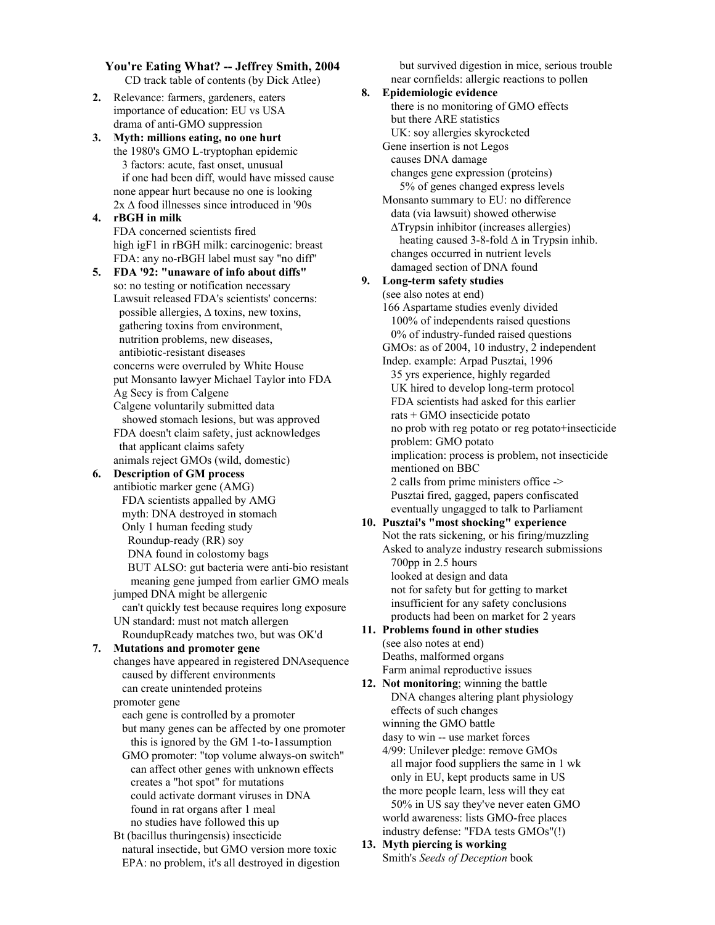**You're Eating What? -- Jeffrey Smith, 2004** CD track table of contents (by Dick Atlee)

**2.** Relevance: farmers, gardeners, eaters importance of education: EU vs USA drama of anti-GMO suppression

**3. Myth: millions eating, no one hurt** the 1980's GMO L-tryptophan epidemic 3 factors: acute, fast onset, unusual if one had been diff, would have missed cause none appear hurt because no one is looking 2x ∆ food illnesses since introduced in '90s

## **4. rBGH in milk** FDA concerned scientists fired high igF1 in rBGH milk: carcinogenic: breast FDA: any no-rBGH label must say "no diff"

- **5. FDA '92: "unaware of info about diffs"** so: no testing or notification necessary Lawsuit released FDA's scientists' concerns: possible allergies, ∆ toxins, new toxins, gathering toxins from environment, nutrition problems, new diseases, antibiotic-resistant diseases concerns were overruled by White House put Monsanto lawyer Michael Taylor into FDA Ag Secy is from Calgene Calgene voluntarily submitted data showed stomach lesions, but was approved FDA doesn't claim safety, just acknowledges that applicant claims safety
	- animals reject GMOs (wild, domestic)

# **6. Description of GM process**

- antibiotic marker gene (AMG) FDA scientists appalled by AMG myth: DNA destroyed in stomach Only 1 human feeding study Roundup-ready (RR) soy DNA found in colostomy bags BUT ALSO: gut bacteria were anti-bio resistant meaning gene jumped from earlier GMO meals jumped DNA might be allergenic can't quickly test because requires long exposure UN standard: must not match allergen
- RoundupReady matches two, but was OK'd

## **7. Mutations and promoter gene**

changes have appeared in registered DNAsequence caused by different environments can create unintended proteins

promoter gene

- each gene is controlled by a promoter but many genes can be affected by one promoter this is ignored by the GM 1-to-1assumption
- GMO promoter: "top volume always-on switch" can affect other genes with unknown effects creates a "hot spot" for mutations could activate dormant viruses in DNA found in rat organs after 1 meal no studies have followed this up
- Bt (bacillus thuringensis) insecticide natural insectide, but GMO version more toxic EPA: no problem, it's all destroyed in digestion

 but survived digestion in mice, serious trouble near cornfields: allergic reactions to pollen

**8. Epidemiologic evidence** there is no monitoring of GMO effects but there ARE statistics UK: soy allergies skyrocketed Gene insertion is not Legos causes DNA damage changes gene expression (proteins) 5% of genes changed express levels Monsanto summary to EU: no difference data (via lawsuit) showed otherwise ∆Trypsin inhibitor (increases allergies) heating caused 3-8-fold ∆ in Trypsin inhib. changes occurred in nutrient levels damaged section of DNA found **9. Long-term safety studies** (see also notes at end) 166 Aspartame studies evenly divided 100% of independents raised questions 0% of industry-funded raised questions GMOs: as of 2004, 10 industry, 2 independent Indep. example: Arpad Pusztai, 1996 35 yrs experience, highly regarded UK hired to develop long-term protocol FDA scientists had asked for this earlier rats + GMO insecticide potato no prob with reg potato or reg potato+insecticide problem: GMO potato implication: process is problem, not insecticide mentioned on BBC 2 calls from prime ministers office -> Pusztai fired, gagged, papers confiscated eventually ungagged to talk to Parliament **10. Pusztai's "most shocking" experience** Not the rats sickening, or his firing/muzzling Asked to analyze industry research submissions 700pp in 2.5 hours looked at design and data not for safety but for getting to market insufficient for any safety conclusions products had been on market for 2 years **11. Problems found in other studies** (see also notes at end) Deaths, malformed organs Farm animal reproductive issues **12. Not monitoring**; winning the battle DNA changes altering plant physiology effects of such changes

winning the GMO battle

dasy to win -- use market forces

- 4/99: Unilever pledge: remove GMOs all major food suppliers the same in 1 wk only in EU, kept products same in US the more people learn, less will they eat 50% in US say they've never eaten GMO world awareness: lists GMO-free places industry defense: "FDA tests GMOs"(!)
- **13. Myth piercing is working** Smith's *Seeds of Deception* book